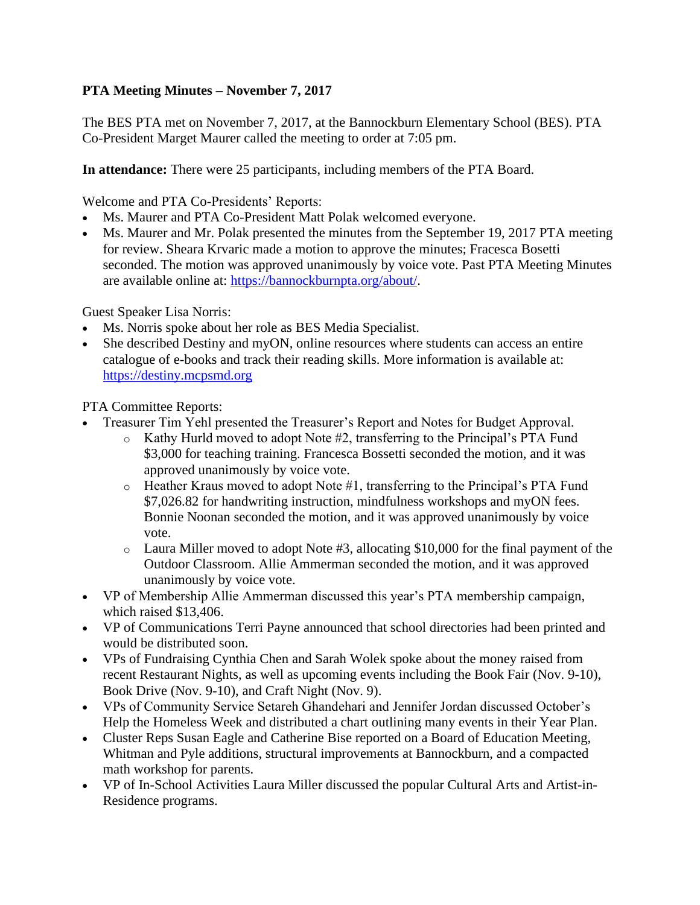## **PTA Meeting Minutes – November 7, 2017**

The BES PTA met on November 7, 2017, at the Bannockburn Elementary School (BES). PTA Co-President Marget Maurer called the meeting to order at 7:05 pm.

**In attendance:** There were 25 participants, including members of the PTA Board.

Welcome and PTA Co-Presidents' Reports:

- Ms. Maurer and PTA Co-President Matt Polak welcomed everyone.
- Ms. Maurer and Mr. Polak presented the minutes from the September 19, 2017 PTA meeting for review. Sheara Krvaric made a motion to approve the minutes; Fracesca Bosetti seconded. The motion was approved unanimously by voice vote. Past PTA Meeting Minutes are available online at: [https://bannockburnpta.org/about/.](https://bannockburnpta.org/about/)

Guest Speaker Lisa Norris:

- Ms. Norris spoke about her role as BES Media Specialist.
- She described Destiny and myON, online resources where students can access an entire catalogue of e-books and track their reading skills. More information is available at: [https://destiny.mcpsmd.org](https://destiny.mcpsmd.org/)

PTA Committee Reports:

- Treasurer Tim Yehl presented the Treasurer's Report and Notes for Budget Approval.
	- o Kathy Hurld moved to adopt Note #2, transferring to the Principal's PTA Fund \$3,000 for teaching training. Francesca Bossetti seconded the motion, and it was approved unanimously by voice vote.
	- o Heather Kraus moved to adopt Note #1, transferring to the Principal's PTA Fund \$7,026.82 for handwriting instruction, mindfulness workshops and myON fees. Bonnie Noonan seconded the motion, and it was approved unanimously by voice vote.
	- o Laura Miller moved to adopt Note #3, allocating \$10,000 for the final payment of the Outdoor Classroom. Allie Ammerman seconded the motion, and it was approved unanimously by voice vote.
- VP of Membership Allie Ammerman discussed this year's PTA membership campaign, which raised \$13,406.
- VP of Communications Terri Payne announced that school directories had been printed and would be distributed soon.
- VPs of Fundraising Cynthia Chen and Sarah Wolek spoke about the money raised from recent Restaurant Nights, as well as upcoming events including the Book Fair (Nov. 9-10), Book Drive (Nov. 9-10), and Craft Night (Nov. 9).
- VPs of Community Service Setareh Ghandehari and Jennifer Jordan discussed October's Help the Homeless Week and distributed a chart outlining many events in their Year Plan.
- Cluster Reps Susan Eagle and Catherine Bise reported on a Board of Education Meeting, Whitman and Pyle additions, structural improvements at Bannockburn, and a compacted math workshop for parents.
- VP of In-School Activities Laura Miller discussed the popular Cultural Arts and Artist-in-Residence programs.